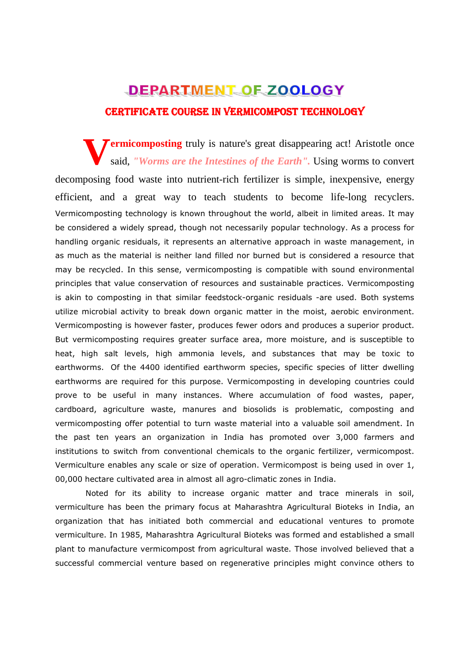# CERTIFICATE COURSE IN VERMICOMPOST TECHNOLOGY

**ermicomposting** truly is nature's great disappearing act! Aristotle once said, "Worms are the Intestines of the Earth". Using worms to convert said, *"Worms are the Intestines of the Earth".* Using worms to convert decomposing food waste into nutrient-rich fertilizer is simple, inexpensive, energy efficient, and a great way to teach students to become life-long recyclers. Vermicomposting technology is known throughout the world, albeit in limited areas. It may be considered a widely spread, though not necessarily popular technology. As a process for handling organic residuals, it represents an alternative approach in waste management, in as much as the material is neither land filled nor burned but is considered a resource that may be recycled. In this sense, vermicomposting is compatible with sound environmental principles that value conservation of resources and sustainable practices. Vermicomposting is akin to composting in that similar feedstock-organic residuals -are used. Both systems utilize microbial activity to break down organic matter in the moist, aerobic environment. Vermicomposting is however faster, produces fewer odors and produces a superior product. But vermicomposting requires greater surface area, more moisture, and is susceptible to heat, high salt levels, high ammonia levels, and substances that may be toxic to earthworms. Of the 4400 identified earthworm species, specific species of litter dwelling earthworms are required for this purpose. Vermicomposting in developing countries could prove to be useful in many instances. Where accumulation of food wastes, paper, cardboard, agriculture waste, manures and biosolids is problematic, composting and vermicomposting offer potential to turn waste material into a valuable soil amendment. In the past ten years an organization in India has promoted over 3,000 farmers and institutions to switch from conventional chemicals to the organic fertilizer, vermicompost. Vermiculture enables any scale or size of operation. Vermicompost is being used in over 1, 00,000 hectare cultivated area in almost all agro-climatic zones in India.

 Noted for its ability to increase organic matter and trace minerals in soil, vermiculture has been the primary focus at Maharashtra Agricultural Bioteks in India, an organization that has initiated both commercial and educational ventures to promote vermiculture. In 1985, Maharashtra Agricultural Bioteks was formed and established a small plant to manufacture vermicompost from agricultural waste. Those involved believed that a successful commercial venture based on regenerative principles might convince others to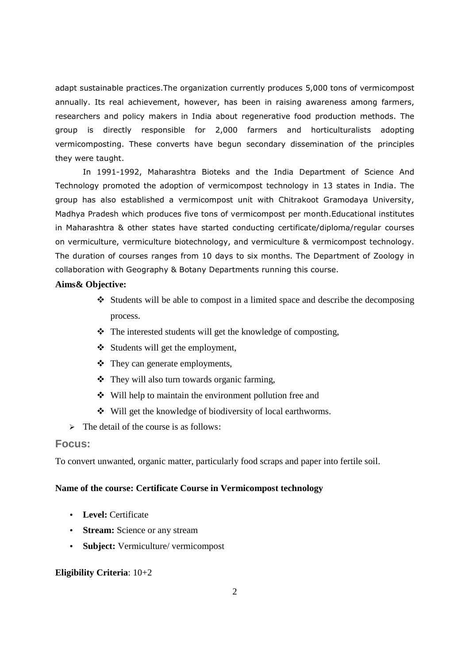adapt sustainable practices.The organization currently produces 5,000 tons of vermicompost annually. Its real achievement, however, has been in raising awareness among farmers, researchers and policy makers in India about regenerative food production methods. The group is directly responsible for 2,000 farmers and horticulturalists adopting vermicomposting. These converts have begun secondary dissemination of the principles they were taught.

In 1991-1992, Maharashtra Bioteks and the India Department of Science And Technology promoted the adoption of vermicompost technology in 13 states in India. The group has also established a vermicompost unit with Chitrakoot Gramodaya University, Madhya Pradesh which produces five tons of vermicompost per month.Educational institutes in Maharashtra & other states have started conducting certificate/diploma/regular courses on vermiculture, vermiculture biotechnology, and vermiculture & vermicompost technology. The duration of courses ranges from 10 days to six months. The Department of Zoology in collaboration with Geography & Botany Departments running this course.

# **Aims& Objective:**

- $\triangleleft$  Students will be able to compost in a limited space and describe the decomposing process.
- $\triangle$  The interested students will get the knowledge of composting,
- Students will get the employment,
- They can generate employments,
- They will also turn towards organic farming,
- Will help to maintain the environment pollution free and
- Will get the knowledge of biodiversity of local earthworms.
- > The detail of the course is as follows:

# **Focus:**

To convert unwanted, organic matter, particularly food scraps and paper into fertile soil.

#### **Name of the course: Certificate Course in Vermicompost technology**

- **Level:** Certificate
- **Stream:** Science or any stream
- **Subject:** Vermiculture/ vermicompost

## **Eligibility Criteria**: 10+2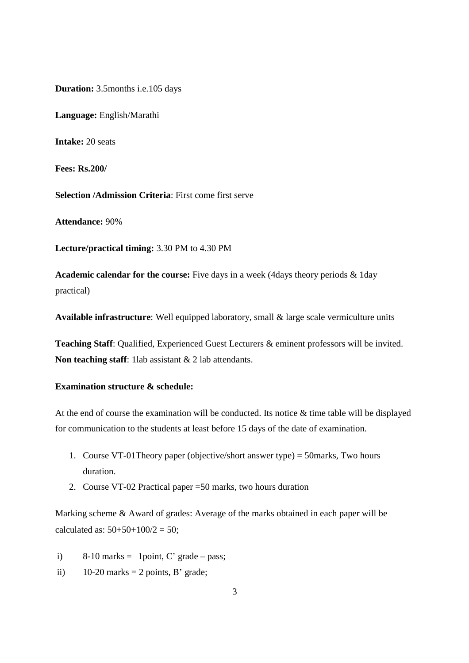**Duration:** 3.5months i.e.105 days

**Language:** English/Marathi

**Intake:** 20 seats

**Fees: Rs.200/**

**Selection /Admission Criteria**: First come first serve

**Attendance:** 90%

**Lecture/practical timing:** 3.30 PM to 4.30 PM

**Academic calendar for the course:** Five days in a week (4days theory periods & 1day practical)

**Available infrastructure**: Well equipped laboratory, small & large scale vermiculture units

**Teaching Staff**: Qualified, Experienced Guest Lecturers & eminent professors will be invited. **Non teaching staff**: 1lab assistant & 2 lab attendants.

# **Examination structure & schedule:**

At the end of course the examination will be conducted. Its notice & time table will be displayed for communication to the students at least before 15 days of the date of examination.

- 1. Course VT-01Theory paper (objective/short answer type) = 50marks, Two hours duration.
- 2. Course VT-02 Practical paper =50 marks, two hours duration

Marking scheme & Award of grades: Average of the marks obtained in each paper will be calculated as:  $50+50+100/2 = 50$ ;

i) 8-10 marks = 1 point, C' grade – pass;

ii)  $10-20$  marks = 2 points, B' grade;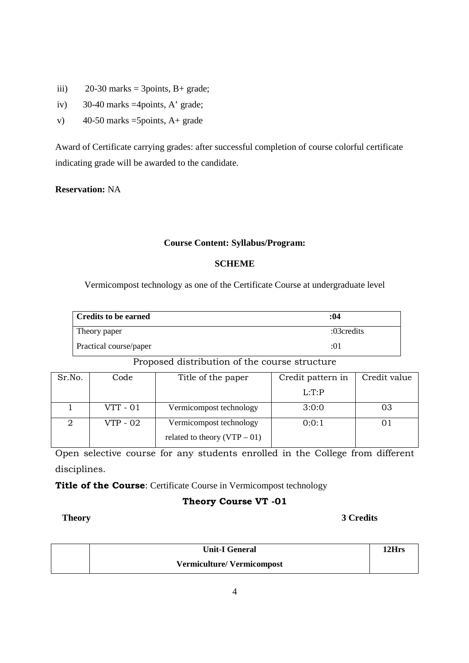- iii)  $20-30$  marks = 3points, B+ grade;
- iv) 30-40 marks =4points, A' grade;
- v)  $40-50$  marks =5points, A+ grade

Award of Certificate carrying grades: after successful completion of course colorful certificate indicating grade will be awarded to the candidate.

**Reservation:** NA

# **Course Content: Syllabus/Program:**

# **SCHEME**

Vermicompost technology as one of the Certificate Course at undergraduate level

| Credits to be earned   | :04        |
|------------------------|------------|
| Theory paper           | :03credits |
| Practical course/paper | :01        |

# Proposed distribution of the course structure

| Sr.No. | Code       | Title of the paper                                        | Credit pattern in | Credit value |
|--------|------------|-----------------------------------------------------------|-------------------|--------------|
|        |            |                                                           | L: T: P           |              |
|        | $VTT - 01$ | Vermicompost technology                                   | 3:0:0             | 03           |
|        | VTP - 02   | Vermicompost technology<br>related to theory $(VTP - 01)$ | 0:0:1             |              |
|        |            |                                                           |                   |              |

Open selective course for any students enrolled in the College from different disciplines.

**Title of the Course**: Certificate Course in Vermicompost technology

# **Theory Course VT -01**

# **Theory 3 Credits**

| <b>Unit-I General</b>            | 12Hrs |
|----------------------------------|-------|
| <b>Vermiculture/Vermicompost</b> |       |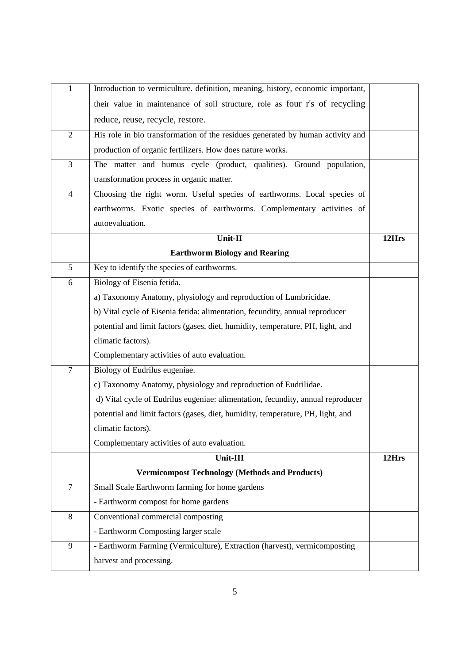| $\mathbf{1}$   | Introduction to vermiculture. definition, meaning, history, economic important, |       |
|----------------|---------------------------------------------------------------------------------|-------|
|                | their value in maintenance of soil structure, role as four r's of recycling     |       |
|                | reduce, reuse, recycle, restore.                                                |       |
| $\overline{2}$ | His role in bio transformation of the residues generated by human activity and  |       |
|                | production of organic fertilizers. How does nature works.                       |       |
| $\overline{3}$ | The matter and humus cycle (product, qualities). Ground population,             |       |
|                | transformation process in organic matter.                                       |       |
| $\overline{4}$ | Choosing the right worm. Useful species of earthworms. Local species of         |       |
|                | earthworms. Exotic species of earthworms. Complementary activities of           |       |
|                | autoevaluation.                                                                 |       |
|                | Unit-II                                                                         | 12Hrs |
|                | <b>Earthworm Biology and Rearing</b>                                            |       |
| 5              | Key to identify the species of earthworms.                                      |       |
| 6              | Biology of Eisenia fetida.                                                      |       |
|                | a) Taxonomy Anatomy, physiology and reproduction of Lumbricidae.                |       |
|                | b) Vital cycle of Eisenia fetida: alimentation, fecundity, annual reproducer    |       |
|                | potential and limit factors (gases, diet, humidity, temperature, PH, light, and |       |
|                | climatic factors).                                                              |       |
|                | Complementary activities of auto evaluation.                                    |       |
| $\tau$         | Biology of Eudrilus eugeniae.                                                   |       |
|                | c) Taxonomy Anatomy, physiology and reproduction of Eudrilidae.                 |       |
|                | d) Vital cycle of Eudrilus eugeniae: alimentation, fecundity, annual reproducer |       |
|                | potential and limit factors (gases, diet, humidity, temperature, PH, light, and |       |
|                | climatic factors).                                                              |       |
|                | Complementary activities of auto evaluation.                                    |       |
|                | Unit-III                                                                        | 12Hrs |
|                | <b>Vermicompost Technology (Methods and Products)</b>                           |       |
| $\tau$         | Small Scale Earthworm farming for home gardens                                  |       |
|                | - Earthworm compost for home gardens                                            |       |
| $8\,$          | Conventional commercial composting                                              |       |
|                | - Earthworm Composting larger scale                                             |       |
| 9              | - Earthworm Farming (Vermiculture), Extraction (harvest), vermicomposting       |       |
|                | harvest and processing.                                                         |       |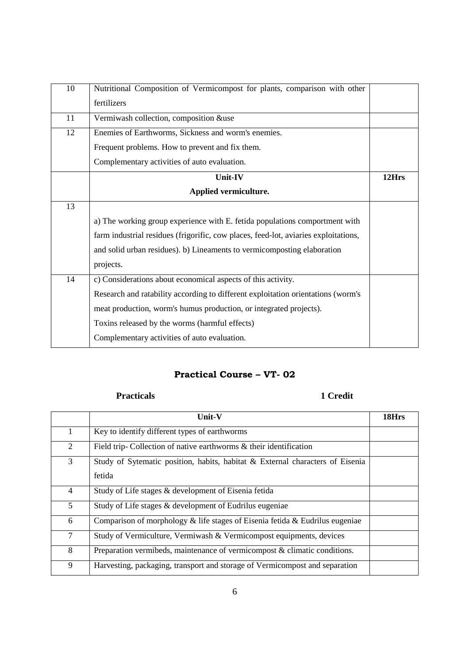| 10 | Nutritional Composition of Vermicompost for plants, comparison with other           |       |
|----|-------------------------------------------------------------------------------------|-------|
|    | fertilizers                                                                         |       |
| 11 | Vermiwash collection, composition &use                                              |       |
| 12 | Enemies of Earthworms, Sickness and worm's enemies.                                 |       |
|    | Frequent problems. How to prevent and fix them.                                     |       |
|    | Complementary activities of auto evaluation.                                        |       |
|    | Unit-IV                                                                             | 12Hrs |
|    | Applied vermiculture.                                                               |       |
| 13 |                                                                                     |       |
|    | a) The working group experience with E. fetida populations comportment with         |       |
|    | farm industrial residues (frigorific, cow places, feed-lot, aviaries exploitations, |       |
|    | and solid urban residues). b) Lineaments to vermicomposting elaboration             |       |
|    | projects.                                                                           |       |
| 14 | c) Considerations about economical aspects of this activity.                        |       |
|    | Research and ratability according to different exploitation orientations (worm's    |       |
|    | meat production, worm's humus production, or integrated projects).                  |       |
|    | Toxins released by the worms (harmful effects)                                      |       |
|    | Complementary activities of auto evaluation.                                        |       |

# **Practical Course – VT- 02**

# **Practicals 1 Credit**

|                | Unit-V                                                                                  | 18Hrs |
|----------------|-----------------------------------------------------------------------------------------|-------|
| $\mathbf{1}$   | Key to identify different types of earthworms                                           |       |
| $\overline{2}$ | Field trip-Collection of native earthworms & their identification                       |       |
| 3              | Study of Sytematic position, habits, habitat & External characters of Eisenia<br>fetida |       |
| $\overline{4}$ | Study of Life stages & development of Eisenia fetida                                    |       |
| $5^{\circ}$    | Study of Life stages & development of Eudrilus eugeniae                                 |       |
| 6              | Comparison of morphology & life stages of Eisenia fetida & Eudrilus eugeniae            |       |
| $\tau$         | Study of Vermiculture, Vermiwash & Vermicompost equipments, devices                     |       |
| 8              | Preparation vermibeds, maintenance of vermicompost & climatic conditions.               |       |
| 9              | Harvesting, packaging, transport and storage of Vermicompost and separation             |       |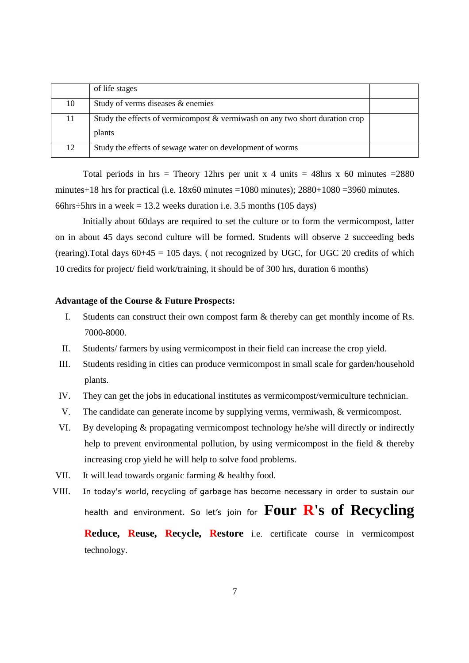|    | of life stages                                                                  |  |
|----|---------------------------------------------------------------------------------|--|
| 10 | Study of verms diseases & enemies                                               |  |
| 11 | Study the effects of vermicompost $\&$ vermiwash on any two short duration crop |  |
|    | plants                                                                          |  |
| 12 | Study the effects of sewage water on development of worms                       |  |

Total periods in hrs = Theory 12hrs per unit x 4 units = 48hrs x 60 minutes = 2880 minutes+18 hrs for practical (i.e.  $18x60$  minutes =1080 minutes);  $2880+1080 = 3960$  minutes. 66hrs $\div$ 5hrs in a week = 13.2 weeks duration i.e. 3.5 months (105 days)

Initially about 60days are required to set the culture or to form the vermicompost, latter on in about 45 days second culture will be formed. Students will observe 2 succeeding beds (rearing). Total days  $60+45 = 105$  days. (not recognized by UGC, for UGC 20 credits of which 10 credits for project/ field work/training, it should be of 300 hrs, duration 6 months)

#### **Advantage of the Course & Future Prospects:**

- I. Students can construct their own compost farm & thereby can get monthly income of Rs. 7000-8000.
- II. Students/ farmers by using vermicompost in their field can increase the crop yield.
- III. Students residing in cities can produce vermicompost in small scale for garden/household plants.
- IV. They can get the jobs in educational institutes as vermicompost/vermiculture technician.
- V. The candidate can generate income by supplying verms, vermiwash, & vermicompost.
- VI. By developing & propagating vermicompost technology he/she will directly or indirectly help to prevent environmental pollution, by using vermicompost in the field & thereby increasing crop yield he will help to solve food problems.
- VII. It will lead towards organic farming & healthy food.
- VIII. In today's world, recycling of garbage has become necessary in order to sustain our health and environment. So let's join for **Four R's of Recycling Reduce, Reuse, Recycle, Restore** i.e. certificate course in vermicompost technology.